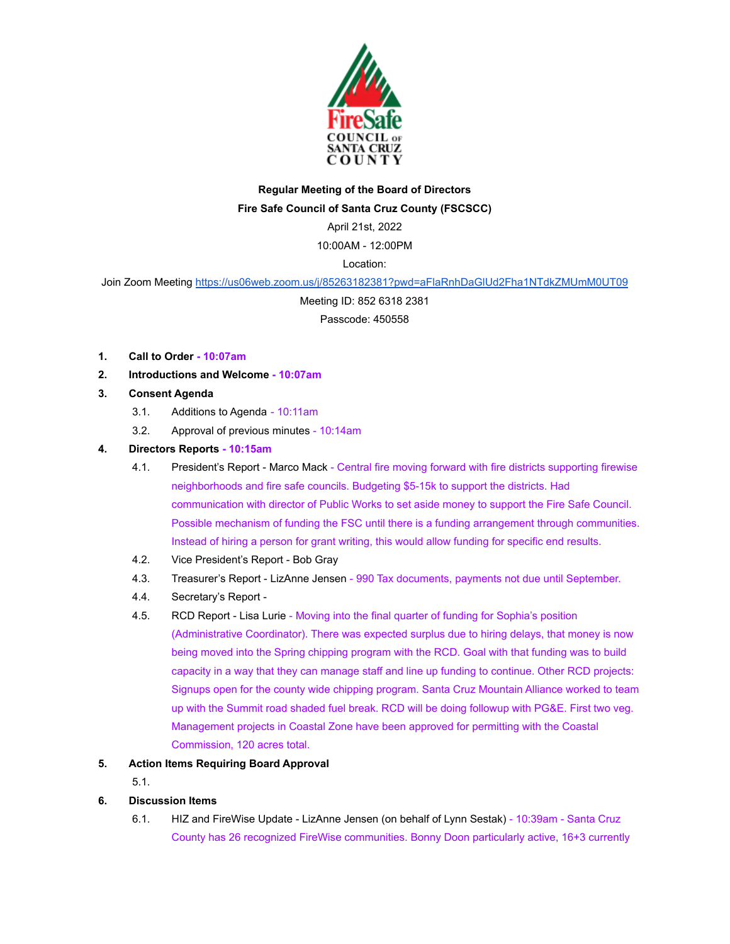

## **Regular Meeting of the Board of Directors Fire Safe Council of Santa Cruz County (FSCSCC)**

April 21st, 2022

10:00AM - 12:00PM

Location:

Join Zoom Meeting https://us06web.zoom.us/j/85263182381?pwd=aFlaRnhDaGIUd2Fha1NTdkZMUmM0UT09

Meeting ID: 852 6318 2381

Passcode: 450558

- **1. Call to Order 10:07am**
- **2. Introductions and Welcome 10:07am**
- **3. Consent Agenda**
	- 3.1. Additions to Agenda 10:11am
	- 3.2. Approval of previous minutes 10:14am

## **4. Directors Reports - 10:15am**

- 4.1. President's Report Marco Mack Central fire moving forward with fire districts supporting firewise neighborhoods and fire safe councils. Budgeting \$5-15k to support the districts. Had communication with director of Public Works to set aside money to support the Fire Safe Council. Possible mechanism of funding the FSC until there is a funding arrangement through communities. Instead of hiring a person for grant writing, this would allow funding for specific end results.
- 4.2. Vice President's Report Bob Gray
- 4.3. Treasurer's Report LizAnne Jensen 990 Tax documents, payments not due until September.
- 4.4. Secretary's Report -
- 4.5. RCD Report Lisa Lurie Moving into the final quarter of funding for Sophia's position (Administrative Coordinator). There was expected surplus due to hiring delays, that money is now being moved into the Spring chipping program with the RCD. Goal with that funding was to build capacity in a way that they can manage staff and line up funding to continue. Other RCD projects: Signups open for the county wide chipping program. Santa Cruz Mountain Alliance worked to team up with the Summit road shaded fuel break. RCD will be doing followup with PG&E. First two veg. Management projects in Coastal Zone have been approved for permitting with the Coastal Commission, 120 acres total.
- **5. Action Items Requiring Board Approval**
	- 5.1.
- **6. Discussion Items**
	- 6.1. HIZ and FireWise Update LizAnne Jensen (on behalf of Lynn Sestak) 10:39am Santa Cruz County has 26 recognized FireWise communities. Bonny Doon particularly active, 16+3 currently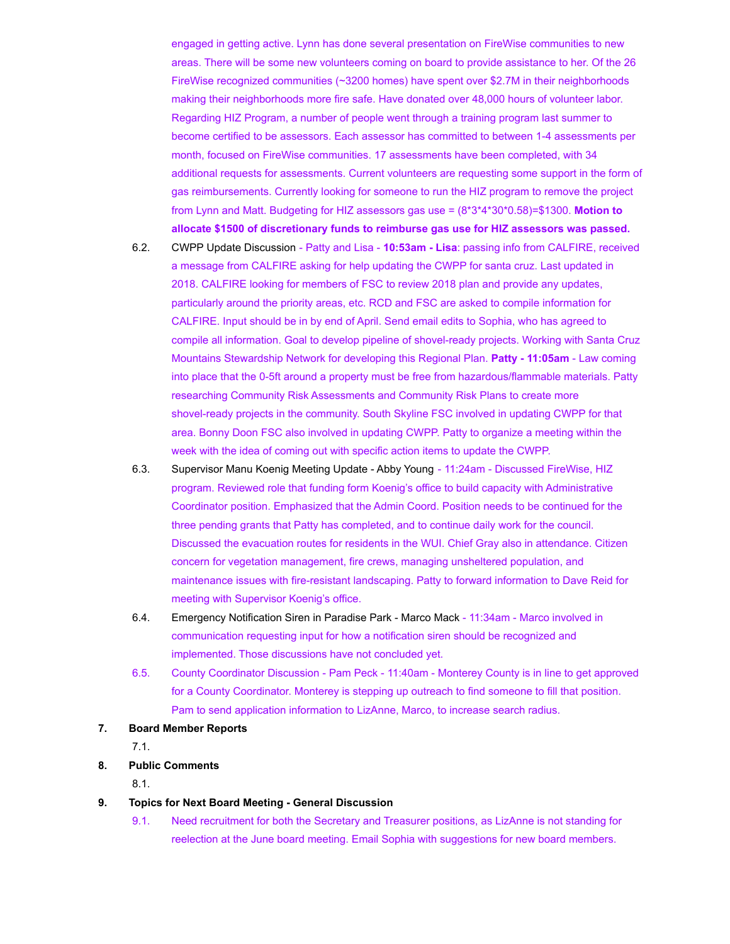engaged in getting active. Lynn has done several presentation on FireWise communities to new areas. There will be some new volunteers coming on board to provide assistance to her. Of the 26 FireWise recognized communities (~3200 homes) have spent over \$2.7M in their neighborhoods making their neighborhoods more fire safe. Have donated over 48,000 hours of volunteer labor. Regarding HIZ Program, a number of people went through a training program last summer to become certified to be assessors. Each assessor has committed to between 1-4 assessments per month, focused on FireWise communities. 17 assessments have been completed, with 34 additional requests for assessments. Current volunteers are requesting some support in the form of gas reimbursements. Currently looking for someone to run the HIZ program to remove the project from Lynn and Matt. Budgeting for HIZ assessors gas use = (8\*3\*4\*30\*0.58)=\$1300. **Motion to allocate \$1500 of discretionary funds to reimburse gas use for HIZ assessors was passed.**

- 6.2. CWPP Update Discussion Patty and Lisa **10:53am Lisa**: passing info from CALFIRE, received a message from CALFIRE asking for help updating the CWPP for santa cruz. Last updated in 2018. CALFIRE looking for members of FSC to review 2018 plan and provide any updates, particularly around the priority areas, etc. RCD and FSC are asked to compile information for CALFIRE. Input should be in by end of April. Send email edits to Sophia, who has agreed to compile all information. Goal to develop pipeline of shovel-ready projects. Working with Santa Cruz Mountains Stewardship Network for developing this Regional Plan. **Patty - 11:05am** - Law coming into place that the 0-5ft around a property must be free from hazardous/flammable materials. Patty researching Community Risk Assessments and Community Risk Plans to create more shovel-ready projects in the community. South Skyline FSC involved in updating CWPP for that area. Bonny Doon FSC also involved in updating CWPP. Patty to organize a meeting within the week with the idea of coming out with specific action items to update the CWPP.
- 6.3. Supervisor Manu Koenig Meeting Update Abby Young 11:24am Discussed FireWise, HIZ program. Reviewed role that funding form Koenig's office to build capacity with Administrative Coordinator position. Emphasized that the Admin Coord. Position needs to be continued for the three pending grants that Patty has completed, and to continue daily work for the council. Discussed the evacuation routes for residents in the WUI. Chief Gray also in attendance. Citizen concern for vegetation management, fire crews, managing unsheltered population, and maintenance issues with fire-resistant landscaping. Patty to forward information to Dave Reid for meeting with Supervisor Koenig's office.
- 6.4. Emergency Notification Siren in Paradise Park Marco Mack 11:34am Marco involved in communication requesting input for how a notification siren should be recognized and implemented. Those discussions have not concluded yet.
- 6.5. County Coordinator Discussion Pam Peck 11:40am Monterey County is in line to get approved for a County Coordinator. Monterey is stepping up outreach to find someone to fill that position. Pam to send application information to LizAnne, Marco, to increase search radius.
- **7. Board Member Reports**

7.1.

**8. Public Comments**

8.1.

- **9. Topics for Next Board Meeting General Discussion**
	- 9.1. Need recruitment for both the Secretary and Treasurer positions, as LizAnne is not standing for reelection at the June board meeting. Email Sophia with suggestions for new board members.